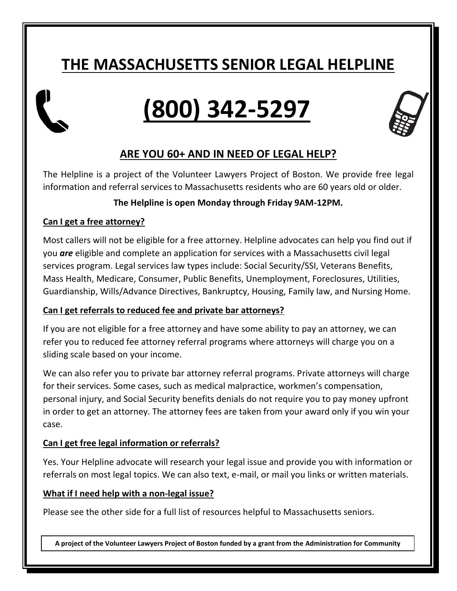## **THE MASSACHUSETTS SENIOR LEGAL HELPLINE**

# **(800) 342-5297**



### **ARE YOU 60+ AND IN NEED OF LEGAL HELP?**

The Helpline is a project of the Volunteer Lawyers Project of Boston. We provide free legal information and referral services to Massachusetts residents who are 60 years old or older.

#### **The Helpline is open Monday through Friday 9AM-12PM.**

#### **Can I get a free attorney?**

Most callers will not be eligible for a free attorney. Helpline advocates can help you find out if you *are* eligible and complete an application for services with a Massachusetts civil legal services program. Legal services law types include: Social Security/SSI, Veterans Benefits, Mass Health, Medicare, Consumer, Public Benefits, Unemployment, Foreclosures, Utilities, Guardianship, Wills/Advance Directives, Bankruptcy, Housing, Family law, and Nursing Home.

#### **Can I get referrals to reduced fee and private bar attorneys?**

If you are not eligible for a free attorney and have some ability to pay an attorney, we can refer you to reduced fee attorney referral programs where attorneys will charge you on a sliding scale based on your income.

We can also refer you to private bar attorney referral programs. Private attorneys will charge for their services. Some cases, such as medical malpractice, workmen's compensation, personal injury, and Social Security benefits denials do not require you to pay money upfront in order to get an attorney. The attorney fees are taken from your award only if you win your case.

#### **Can I get free legal information or referrals?**

Yes. Your Helpline advocate will research your legal issue and provide you with information or referrals on most legal topics. We can also text, e-mail, or mail you links or written materials.

#### **What if I need help with a non-legal issue?**

Please see the other side for a full list of resources helpful to Massachusetts seniors.

**A project of the Volunteer Lawyers Project of Boston funded by a grant from the Administration for Community Living**